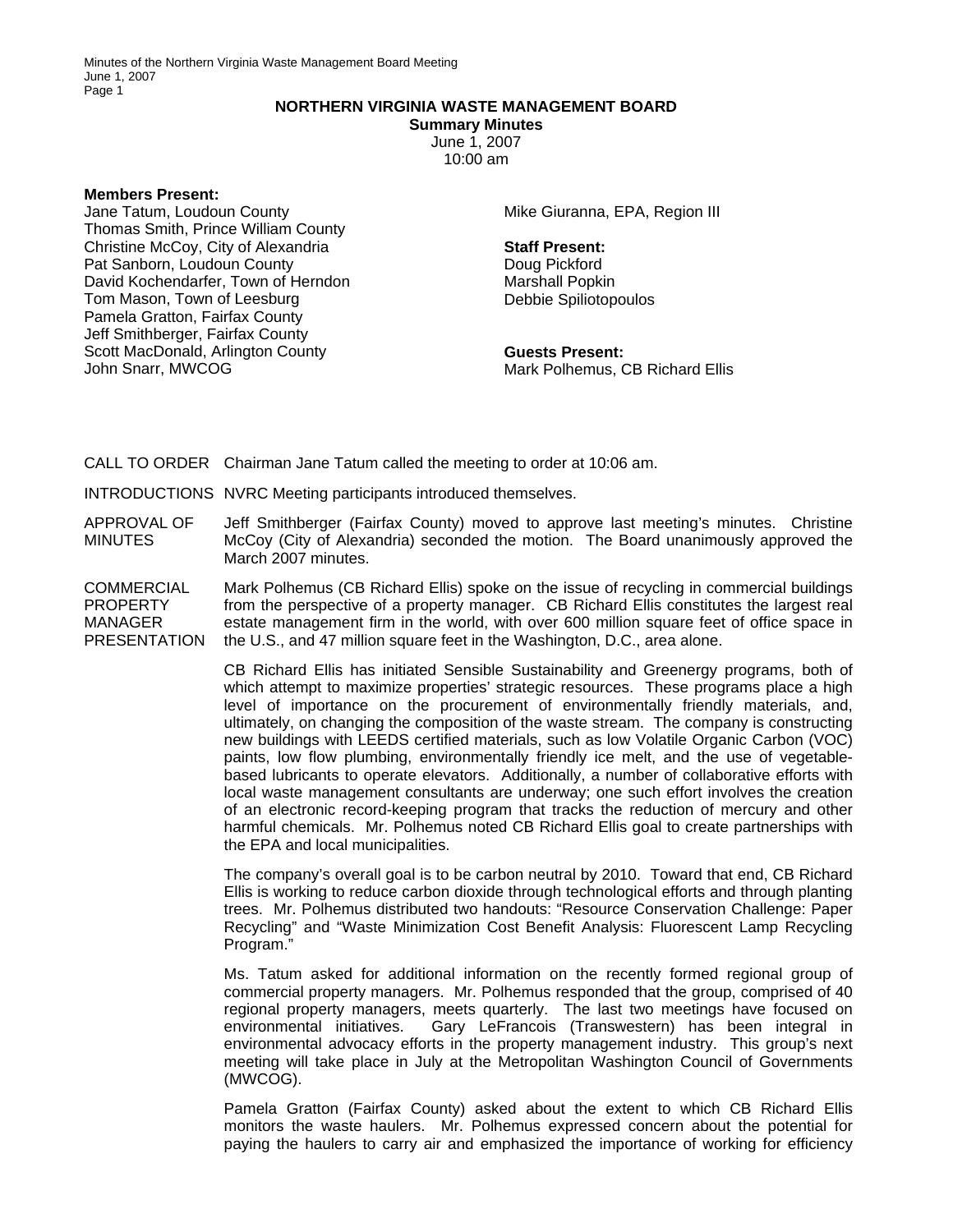## **NORTHERN VIRGINIA WASTE MANAGEMENT BOARD**

**Summary Minutes**  June 1, 2007 10:00 am

**Members Present:** 

Jane Tatum, Loudoun County Thomas Smith, Prince William County Christine McCoy, City of Alexandria Pat Sanborn, Loudoun County David Kochendarfer, Town of Herndon Tom Mason, Town of Leesburg Pamela Gratton, Fairfax County Jeff Smithberger, Fairfax County Scott MacDonald, Arlington County John Snarr, MWCOG

Mike Giuranna, EPA, Region III

## **Staff Present:**

Doug Pickford Marshall Popkin Debbie Spiliotopoulos

**Guests Present:**  Mark Polhemus, CB Richard Ellis

CALL TO ORDER Chairman Jane Tatum called the meeting to order at 10:06 am.

INTRODUCTIONS NVRC Meeting participants introduced themselves.

APPROVAL OF MINUTES Jeff Smithberger (Fairfax County) moved to approve last meeting's minutes. Christine McCoy (City of Alexandria) seconded the motion. The Board unanimously approved the March 2007 minutes.

COMMERCIAL PROPERTY MANAGER **PRESENTATION** Mark Polhemus (CB Richard Ellis) spoke on the issue of recycling in commercial buildings from the perspective of a property manager. CB Richard Ellis constitutes the largest real estate management firm in the world, with over 600 million square feet of office space in the U.S., and 47 million square feet in the Washington, D.C., area alone.

> CB Richard Ellis has initiated Sensible Sustainability and Greenergy programs, both of which attempt to maximize properties' strategic resources. These programs place a high level of importance on the procurement of environmentally friendly materials, and, ultimately, on changing the composition of the waste stream. The company is constructing new buildings with LEEDS certified materials, such as low Volatile Organic Carbon (VOC) paints, low flow plumbing, environmentally friendly ice melt, and the use of vegetablebased lubricants to operate elevators. Additionally, a number of collaborative efforts with local waste management consultants are underway; one such effort involves the creation of an electronic record-keeping program that tracks the reduction of mercury and other harmful chemicals. Mr. Polhemus noted CB Richard Ellis goal to create partnerships with the EPA and local municipalities.

> The company's overall goal is to be carbon neutral by 2010. Toward that end, CB Richard Ellis is working to reduce carbon dioxide through technological efforts and through planting trees. Mr. Polhemus distributed two handouts: "Resource Conservation Challenge: Paper Recycling" and "Waste Minimization Cost Benefit Analysis: Fluorescent Lamp Recycling Program."

> Ms. Tatum asked for additional information on the recently formed regional group of commercial property managers. Mr. Polhemus responded that the group, comprised of 40 regional property managers, meets quarterly. The last two meetings have focused on environmental initiatives. Gary LeFrancois (Transwestern) has been integral in environmental advocacy efforts in the property management industry. This group's next meeting will take place in July at the Metropolitan Washington Council of Governments (MWCOG).

> Pamela Gratton (Fairfax County) asked about the extent to which CB Richard Ellis monitors the waste haulers. Mr. Polhemus expressed concern about the potential for paying the haulers to carry air and emphasized the importance of working for efficiency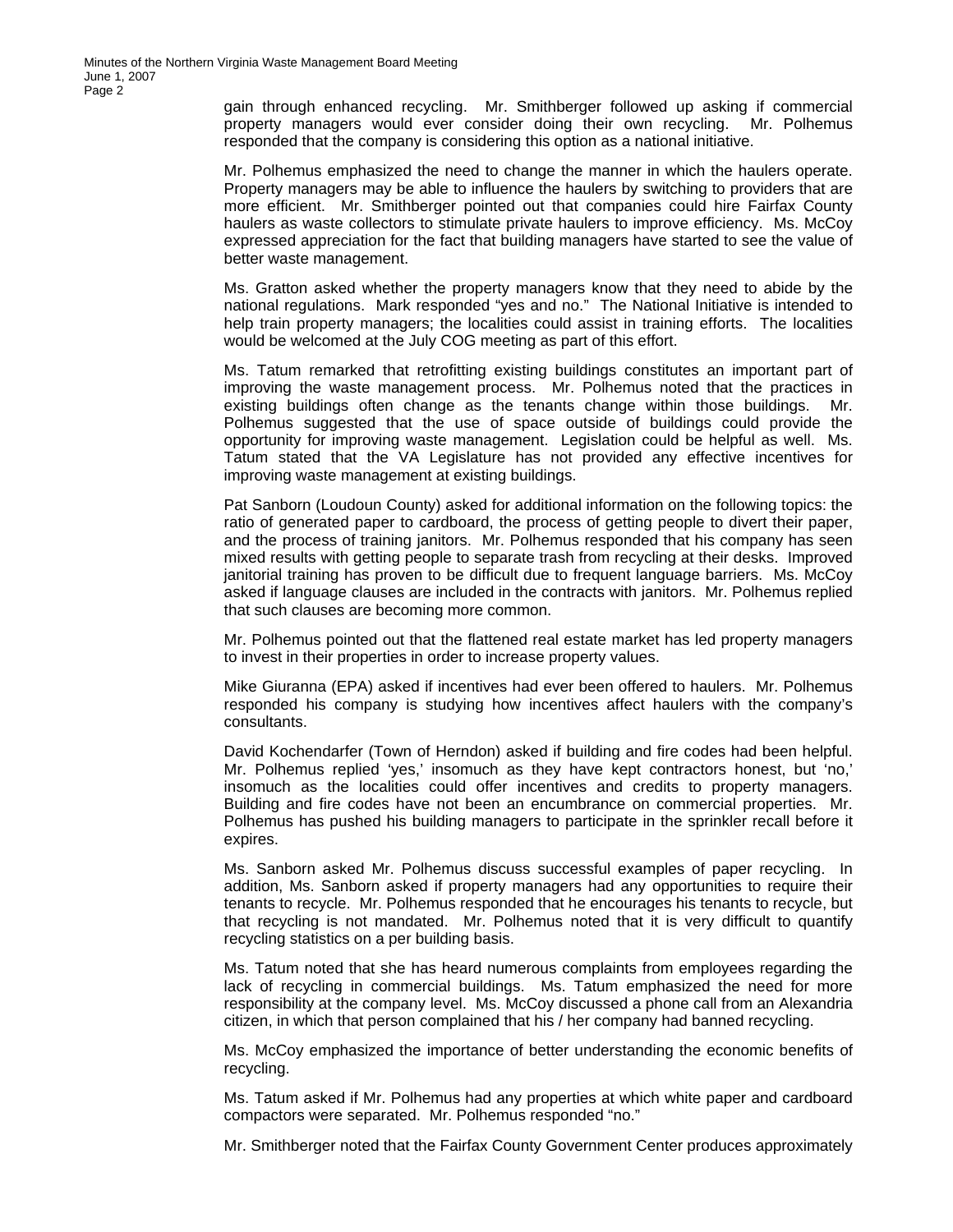gain through enhanced recycling. Mr. Smithberger followed up asking if commercial property managers would ever consider doing their own recycling. Mr. Polhemus responded that the company is considering this option as a national initiative.

Mr. Polhemus emphasized the need to change the manner in which the haulers operate. Property managers may be able to influence the haulers by switching to providers that are more efficient. Mr. Smithberger pointed out that companies could hire Fairfax County haulers as waste collectors to stimulate private haulers to improve efficiency. Ms. McCoy expressed appreciation for the fact that building managers have started to see the value of better waste management.

Ms. Gratton asked whether the property managers know that they need to abide by the national regulations. Mark responded "yes and no." The National Initiative is intended to help train property managers; the localities could assist in training efforts. The localities would be welcomed at the July COG meeting as part of this effort.

Ms. Tatum remarked that retrofitting existing buildings constitutes an important part of improving the waste management process. Mr. Polhemus noted that the practices in existing buildings often change as the tenants change within those buildings. Mr. Polhemus suggested that the use of space outside of buildings could provide the opportunity for improving waste management. Legislation could be helpful as well. Ms. Tatum stated that the VA Legislature has not provided any effective incentives for improving waste management at existing buildings.

Pat Sanborn (Loudoun County) asked for additional information on the following topics: the ratio of generated paper to cardboard, the process of getting people to divert their paper, and the process of training janitors. Mr. Polhemus responded that his company has seen mixed results with getting people to separate trash from recycling at their desks. Improved janitorial training has proven to be difficult due to frequent language barriers. Ms. McCoy asked if language clauses are included in the contracts with janitors. Mr. Polhemus replied that such clauses are becoming more common.

Mr. Polhemus pointed out that the flattened real estate market has led property managers to invest in their properties in order to increase property values.

Mike Giuranna (EPA) asked if incentives had ever been offered to haulers. Mr. Polhemus responded his company is studying how incentives affect haulers with the company's consultants.

David Kochendarfer (Town of Herndon) asked if building and fire codes had been helpful. Mr. Polhemus replied 'yes,' insomuch as they have kept contractors honest, but 'no,' insomuch as the localities could offer incentives and credits to property managers. Building and fire codes have not been an encumbrance on commercial properties. Mr. Polhemus has pushed his building managers to participate in the sprinkler recall before it expires.

Ms. Sanborn asked Mr. Polhemus discuss successful examples of paper recycling. In addition, Ms. Sanborn asked if property managers had any opportunities to require their tenants to recycle. Mr. Polhemus responded that he encourages his tenants to recycle, but that recycling is not mandated. Mr. Polhemus noted that it is very difficult to quantify recycling statistics on a per building basis.

Ms. Tatum noted that she has heard numerous complaints from employees regarding the lack of recycling in commercial buildings. Ms. Tatum emphasized the need for more responsibility at the company level. Ms. McCoy discussed a phone call from an Alexandria citizen, in which that person complained that his / her company had banned recycling.

Ms. McCoy emphasized the importance of better understanding the economic benefits of recycling.

Ms. Tatum asked if Mr. Polhemus had any properties at which white paper and cardboard compactors were separated. Mr. Polhemus responded "no."

Mr. Smithberger noted that the Fairfax County Government Center produces approximately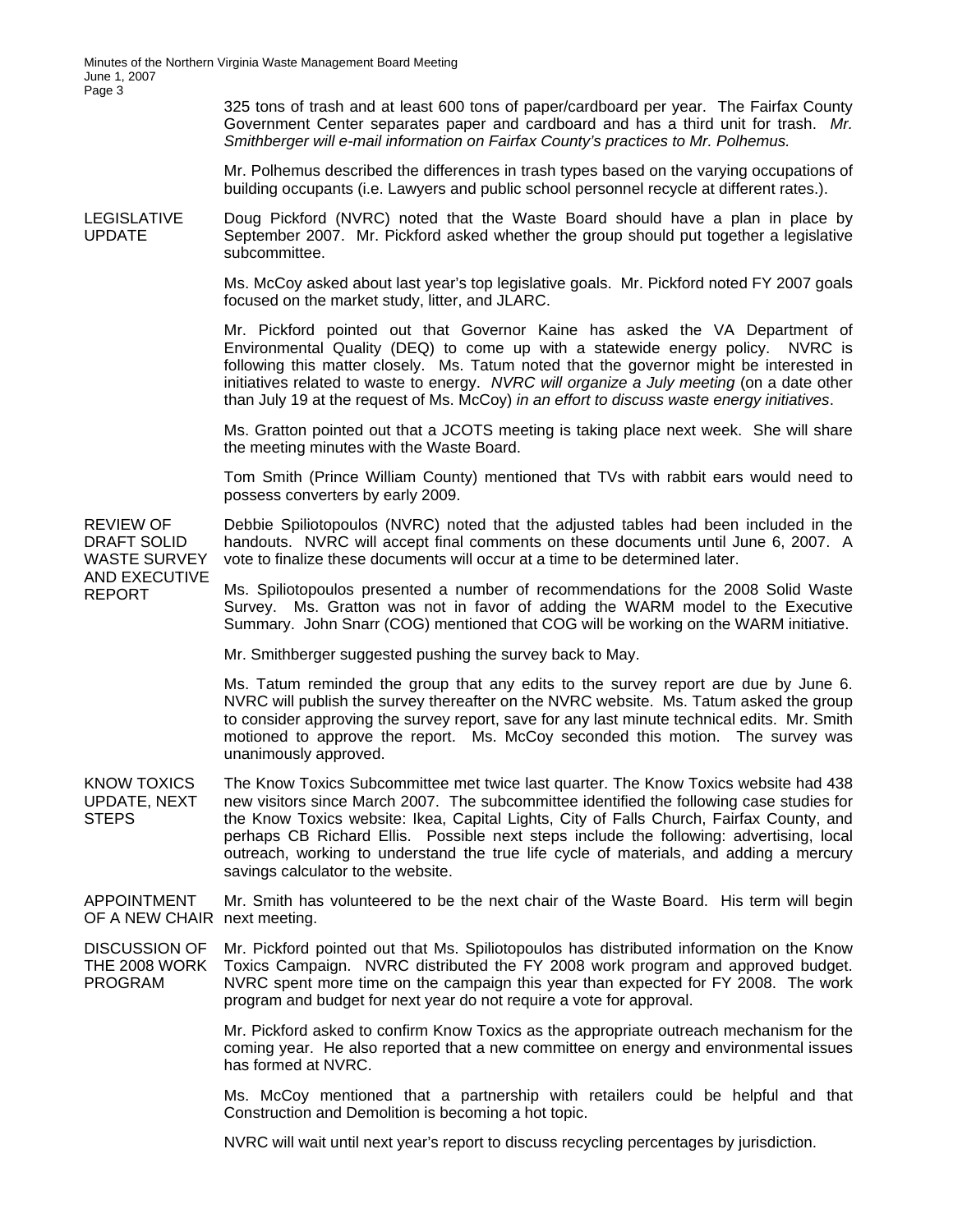325 tons of trash and at least 600 tons of paper/cardboard per year. The Fairfax County Government Center separates paper and cardboard and has a third unit for trash. *Mr. Smithberger will e-mail information on Fairfax County's practices to Mr. Polhemus.* 

Mr. Polhemus described the differences in trash types based on the varying occupations of building occupants (i.e. Lawyers and public school personnel recycle at different rates.).

LEGISLATIVE UPDATE Doug Pickford (NVRC) noted that the Waste Board should have a plan in place by September 2007. Mr. Pickford asked whether the group should put together a legislative subcommittee.

> Ms. McCoy asked about last year's top legislative goals. Mr. Pickford noted FY 2007 goals focused on the market study, litter, and JLARC.

> Mr. Pickford pointed out that Governor Kaine has asked the VA Department of Environmental Quality (DEQ) to come up with a statewide energy policy. NVRC is following this matter closely. Ms. Tatum noted that the governor might be interested in initiatives related to waste to energy. *NVRC will organize a July meeting* (on a date other than July 19 at the request of Ms. McCoy) *in an effort to discuss waste energy initiatives*.

> Ms. Gratton pointed out that a JCOTS meeting is taking place next week. She will share the meeting minutes with the Waste Board.

> Tom Smith (Prince William County) mentioned that TVs with rabbit ears would need to possess converters by early 2009.

Debbie Spiliotopoulos (NVRC) noted that the adjusted tables had been included in the handouts. NVRC will accept final comments on these documents until June 6, 2007. A vote to finalize these documents will occur at a time to be determined later.

DRAFT SOLID WASTE SURVEY AND EXECUTIVE REPORT

REVIEW OF

Ms. Spiliotopoulos presented a number of recommendations for the 2008 Solid Waste Survey. Ms. Gratton was not in favor of adding the WARM model to the Executive Summary. John Snarr (COG) mentioned that COG will be working on the WARM initiative.

Mr. Smithberger suggested pushing the survey back to May.

Ms. Tatum reminded the group that any edits to the survey report are due by June 6. NVRC will publish the survey thereafter on the NVRC website. Ms. Tatum asked the group to consider approving the survey report, save for any last minute technical edits. Mr. Smith motioned to approve the report. Ms. McCoy seconded this motion. The survey was unanimously approved.

KNOW TOXICS UPDATE, NEXT STEPS The Know Toxics Subcommittee met twice last quarter. The Know Toxics website had 438 new visitors since March 2007. The subcommittee identified the following case studies for the Know Toxics website: Ikea, Capital Lights, City of Falls Church, Fairfax County, and perhaps CB Richard Ellis. Possible next steps include the following: advertising, local outreach, working to understand the true life cycle of materials, and adding a mercury savings calculator to the website.

APPOINTMENT OF A NEW CHAIR next meeting. Mr. Smith has volunteered to be the next chair of the Waste Board. His term will begin

DISCUSSION OF THE 2008 WORK PROGRAM Mr. Pickford pointed out that Ms. Spiliotopoulos has distributed information on the Know Toxics Campaign. NVRC distributed the FY 2008 work program and approved budget. NVRC spent more time on the campaign this year than expected for FY 2008. The work program and budget for next year do not require a vote for approval.

> Mr. Pickford asked to confirm Know Toxics as the appropriate outreach mechanism for the coming year. He also reported that a new committee on energy and environmental issues has formed at NVRC.

> Ms. McCoy mentioned that a partnership with retailers could be helpful and that Construction and Demolition is becoming a hot topic.

NVRC will wait until next year's report to discuss recycling percentages by jurisdiction.